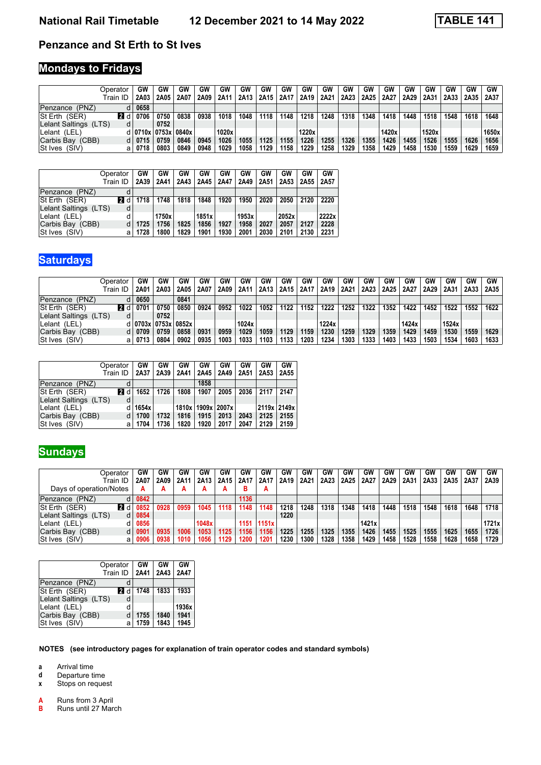#### **Penzance and St Erth to St Ives**

## **Mondays to Fridays**

| Dperator                                | GW                        | GW   | GW   | GW   | GW    | GW   | GW   | GW   | GW    | GW   | GW   | GW   | GW    | GW   | GW    | GW   | GW   | GW    |
|-----------------------------------------|---------------------------|------|------|------|-------|------|------|------|-------|------|------|------|-------|------|-------|------|------|-------|
| Train ID                                | 2A03                      | 2A05 | 2A07 | 2A09 | 2A11  | 2A13 | 2A15 | 2A17 | 2A19  | 2A21 | 2A23 | 2A25 | 2A27  | 2A29 | 2A31  | 2A33 | 2A35 | 2A37  |
| Penzance (PNZ)                          | 0658                      |      |      |      |       |      |      |      |       |      |      |      |       |      |       |      |      |       |
| <b>p</b> idi<br><b>St Erth</b><br>(SER) | 0706                      | 0750 | 0838 | 0938 | 1018  | 1048 | 1118 | 1148 | 1218  | 1248 | 1318 | 1348 | 1418  | 1448 | 1518  | 1548 | 1618 | 1648  |
| Lelant Saltings<br>(LTS)                |                           | 0752 |      |      |       |      |      |      |       |      |      |      |       |      |       |      |      |       |
| Lelant (LEL)                            | d   0710x   0753x   0840x |      |      |      | 1020x |      |      |      | 1220x |      |      |      | 1420x |      | 1520x |      |      | 1650x |
| Carbis Bay<br>(CBB)                     | 0715                      | 0759 | 0846 | 0945 | 1026  | 1055 | 1125 | 1155 | 1226  | 1255 | 1326 | 1355 | 1426  | 1455 | 1526  | 1555 | 1626 | 1656  |
| (SIV)<br>lSt Ives<br>а                  | 0718                      | 0803 | 0849 | 0948 | 1029  | 1058 | 1129 | 1158 | 1229  | 1258 | 1329 | 1358 | 1429  | 1458 | 1530  | 1559 | 1629 | 1659  |

|                       | Operator | GW   | GW    | GW   | GW    | GW   | GW    | GW   | GW    | GW   | GW    |
|-----------------------|----------|------|-------|------|-------|------|-------|------|-------|------|-------|
|                       | Train ID | 2A39 | 2A41  | 2A43 | 2A45  | 2A47 | 2A49  | 2A51 | 2A53  | 2A55 | 2A57  |
| Penzance (PNZ)        | d        |      |       |      |       |      |       |      |       |      |       |
| St Erth (SER)         | 21 d     | 1718 | 1748  | 1818 | 1848  | 1920 | 1950  | 2020 | 2050  | 2120 | 2220  |
| Lelant Saltings (LTS) | d        |      |       |      |       |      |       |      |       |      |       |
| Lelant (LEL)          | d        |      | 1750x |      | 1851x |      | 1953x |      | 2052x |      | 2222x |
| Carbis Bay (CBB)      | d        | 1725 | 1756  | 1825 | 1856  | 1927 | 1958  | 2027 | 2057  | 2127 | 2228  |
| St Ives (SIV)         | а        | 1728 | 1800  | 1829 | 1901  | 1930 | 2001  | 2030 | 2101  | 2130 | 2231  |

# **Saturdays**

| Dperator                   | GW   | GW                        | GW   | GW   | GW   | G٧    | GW   | GW   | GW   | GW    | GW   | GW   | GW   | GW    | GW   | GW    | GW   | <b>GW</b> |
|----------------------------|------|---------------------------|------|------|------|-------|------|------|------|-------|------|------|------|-------|------|-------|------|-----------|
| Train ID                   | 2A01 | 2A03                      | 2A05 | 2A07 | 2A09 | 2A11  | 2A13 | 2A15 | 2A17 | 2A19  | 2A21 | 2A23 | 2A25 | 2A27  | 2A29 | 2A31  | 2A33 | 2A35      |
| Penzance (PNZ)             | 0650 |                           | 0841 |      |      |       |      |      |      |       |      |      |      |       |      |       |      |           |
| 21 d<br>St Erth (SER)      | 0701 | 0750                      | 0850 | 0924 | 0952 | 1022  | 1052 | 1122 | 1152 | 1222  | 1252 | 1322 | 1352 | 1422  | 1452 | 1522  | 1552 | 1622      |
| Lelant Saltings (LTS)<br>d |      | 0752                      |      |      |      |       |      |      |      |       |      |      |      |       |      |       |      |           |
| Lelant (LEL)               |      | d   0703x   0753x   0852x |      |      |      | 1024x |      |      |      | 1224x |      |      |      | 1424x |      | 1524x |      |           |
| Carbis Bay (CBB)           | 0709 | 0759                      | 0858 | 0931 | 0959 | 1029  | 1059 | 1129 | 1159 | 1230  | 1259 | 1329 | 1359 | 1429  | 1459 | 1530  | 1559 | 1629      |
| St Ives (SIV)<br>а         | 0713 | 0804                      | 0902 | 0935 | 1003 | 1033  | 1103 | 1133 | 1203 | 1234  | 1303 | 1333 | 1403 | 1433  | 1503 | 1534  | 1603 | 1633      |

|                       | Operator<br>Train ID | GW<br>2A37 | GW<br>2A39 | GW<br>2A41 | GW<br>2A45 | GW<br>2A49        | GW<br>2A51 | GW<br>2A53  | GW<br>2A55 |
|-----------------------|----------------------|------------|------------|------------|------------|-------------------|------------|-------------|------------|
| Penzance (PNZ)        | d                    |            |            |            | 1858       |                   |            |             |            |
| St Erth (SER)         | 12 d                 | 1652       | 1726       | 1808       | 1907       | 2005              | 2036       | 2117        | 2147       |
| Lelant Saltings (LTS) | d                    |            |            |            |            |                   |            |             |            |
| Lelant (LEL)          |                      | 1654x      |            |            |            | 1810x 1909x 2007x |            | 2119x 2149x |            |
| Carbis Bay (CBB)      | d                    | 1700       | 1732       | 1816       | 1915       | 2013              | 2043       | 2125        | 2155       |
| St Ives (SIV)         | а                    | 1704       | 1736       | 1820       | 1920       | 2017              | 2047       | 2129        | 2159       |

| Operator                    | GW   | GW   | GW   | GW    | GW               | GW     | GW    | GW   | GW   | GW   | GW   | GW    | GW   | GW   | GW   | GW   | GW   | GW    |
|-----------------------------|------|------|------|-------|------------------|--------|-------|------|------|------|------|-------|------|------|------|------|------|-------|
| Train ID                    | 2A07 | 2A09 | 2A11 | 2A13  | 2A <sub>15</sub> | 2A17   | 2A17  | 2A19 | 2A21 | 2A23 | 2A25 | 2A27  | 2A29 | 2A31 | 2A33 | 2A35 | 2A37 | 2A39  |
| Days of operation/Notes     |      | А    | А    | A     | А                | ь      | A     |      |      |      |      |       |      |      |      |      |      |       |
| Penzance (PNZ)              | 0842 |      |      |       |                  | 1136   |       |      |      |      |      |       |      |      |      |      |      |       |
| <b>2</b> d<br>St Erth (SER) | 0852 | 0928 | 0959 | 1045  | 1118             | 1148   | 1148  | 1218 | 1248 | 1318 | 1348 | 1418  | 1448 | 1518 | 1548 | 1618 | 1648 | 1718  |
| Lelant Saltings<br>(LTS)    | 0854 |      |      |       |                  |        |       | 1220 |      |      |      |       |      |      |      |      |      |       |
| Lelant (LEL)                | 0856 |      |      | 1048x |                  | 1151 l | 1151x |      |      |      |      | 1421x |      |      |      |      |      | 1721x |
| Carbis Bay (CBB)            | 0901 | 0935 | 1006 | 1053  | 1125             | 1156   | 1156  | 1225 | 1255 | 1325 | 1355 | 1426  | 1455 | 1525 | 1555 | 1625 | 1655 | 1726  |
| St Ives (SIV)<br>а          | 0906 | 0938 | 1010 | 1056  | 1129             | 1200   | 1201  | 1230 | 1300 | 1328 | 1358 | 1429  | 1458 | 1528 | 1558 | 1628 | 1658 | 1729  |

|                       | Operator<br>Train ID | GW<br>2A41 | GW<br>2A43 | GW<br>2A47 |
|-----------------------|----------------------|------------|------------|------------|
| Penzance (PNZ)        | d                    |            |            |            |
| St Erth (SER)         | 12 d                 | 1748       | 1833       | 1933       |
| Lelant Saltings (LTS) | d                    |            |            |            |
| Lelant (LEL)          | d                    |            |            | 1936x      |
| Carbis Bay (CBB)      | d                    | 1755       | 1840       | 1941       |
| St Ives (SIV)         | a                    | 1759       | 1843       | 1945       |

**NOTES (see introductory pages for explanation of train operator codes and standard symbols)**

**a** Arrival time<br>**d** Departure ti

**d** Departure time<br>**x** Stops on reque

**Stops on request** 

**\$** Runs from 3 April

**Runs until 27 March** 

| <b>Sundays</b>          |              |      |               |      |           |      |      |       |      |      |      |               |       |      |      |      |      |      |           |
|-------------------------|--------------|------|---------------|------|-----------|------|------|-------|------|------|------|---------------|-------|------|------|------|------|------|-----------|
| Operator                |              | GW   | GW            | GW   | <b>GW</b> | GW   | GW   | GW    | GW   | GW   | GW   | GW            | GW    | GW   | GW   | GW   | GW   | GW   | <b>GW</b> |
| Train ID                |              | 2A07 | 2A09          | 2A11 | 2A13      | 2A15 | 2A17 | 2A17  | 2A19 | 2A21 | 2A23 | 2A25          | 2A27  | 2A29 | 2A31 | 2A33 | 2A35 | 2A37 | 2A39      |
| Days of operation/Notes |              |      | А             | А    | А         | А    | в    | А     |      |      |      |               |       |      |      |      |      |      |           |
| Penzance (PNZ)          | d            | 0842 |               |      |           |      | 1136 |       |      |      |      |               |       |      |      |      |      |      |           |
| St Erth (SER)           | 22 d         | 0852 | 0928          | 0959 | 1045      | 1118 | 1148 | 1148  | 1218 | 1248 | 1318 | 1348          | 1418  | 1448 | 1518 | 1548 | 1618 | 1648 | 1718      |
| Lelant Saltings (LTS)   | d            | 0854 |               |      |           |      |      |       | 1220 |      |      |               |       |      |      |      |      |      |           |
| Lelant (LEL)            | d            | 0856 |               |      | 1048x     |      | 1151 | 1151x |      |      |      |               | 1421x |      |      |      |      |      | 1721      |
| $C$ arhie Ray $(CRR)$   | <sub>d</sub> | nan1 | <b>0035</b> L | 1006 | 1053      | 1125 | 1156 | 1156  | 1225 | 1255 |      | $1325$   1355 | 1426  | 1455 | 1525 | 1555 | 1625 | 1655 | 1726      |